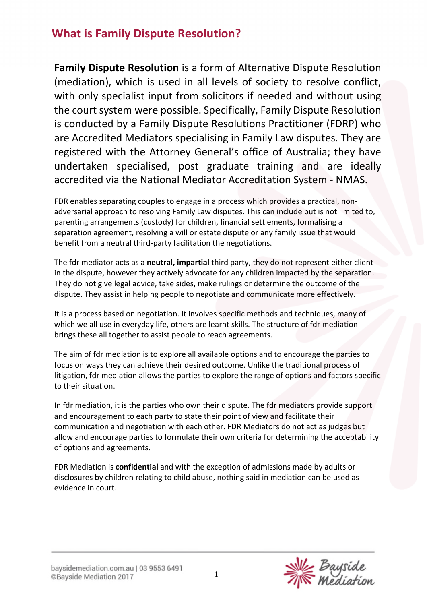**Family Dispute Resolution** is a form of Alternative Dispute Resolution (mediation), which is used in all levels of society to resolve conflict, with only specialist input from solicitors if needed and without using the court system were possible. Specifically, Family Dispute Resolution is conducted by a Family Dispute Resolutions Practitioner (FDRP) who are Accredited Mediators specialising in Family Law disputes. They are registered with the Attorney General's office of Australia; they have undertaken specialised, post graduate training and are ideally accredited via the National Mediator Accreditation System - NMAS.

FDR enables separating couples to engage in a process which provides a practical, nonadversarial approach to resolving Family Law disputes. This can include but is not limited to, parenting arrangements (custody) for children, financial settlements, formalising a separation agreement, resolving a will or estate dispute or any family issue that would benefit from a neutral third-party facilitation the negotiations.

The fdr mediator acts as a **neutral, impartial** third party, they do not represent either client in the dispute, however they actively advocate for any children impacted by the separation. They do not give legal advice, take sides, make rulings or determine the outcome of the dispute. They assist in helping people to negotiate and communicate more effectively.

It is a process based on negotiation. It involves specific methods and techniques, many of which we all use in everyday life, others are learnt skills. The structure of fdr mediation brings these all together to assist people to reach agreements.

The aim of fdr mediation is to explore all available options and to encourage the parties to focus on ways they can achieve their desired outcome. Unlike the traditional process of litigation, fdr mediation allows the parties to explore the range of options and factors specific to their situation.

In fdr mediation, it is the parties who own their dispute. The fdr mediators provide support and encouragement to each party to state their point of view and facilitate their communication and negotiation with each other. FDR Mediators do not act as judges but allow and encourage parties to formulate their own criteria for determining the acceptability of options and agreements.

FDR Mediation is **confidential** and with the exception of admissions made by adults or disclosures by children relating to child abuse, nothing said in mediation can be used as evidence in court.

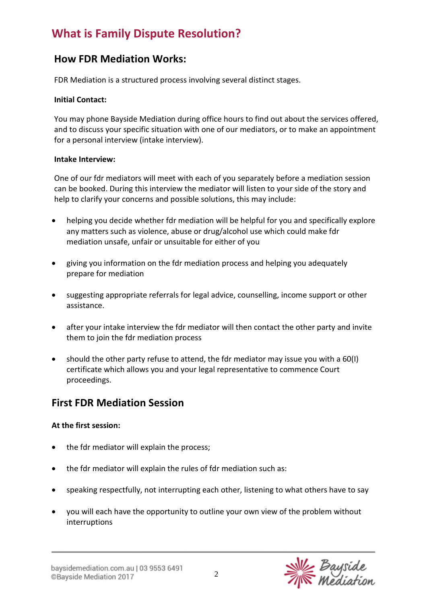### **How FDR Mediation Works:**

FDR Mediation is a structured process involving several distinct stages.

#### **Initial Contact:**

You may phone Bayside Mediation during office hours to find out about the services offered, and to discuss your specific situation with one of our mediators, or to make an appointment for a personal interview (intake interview).

#### **Intake Interview:**

One of our fdr mediators will meet with each of you separately before a mediation session can be booked. During this interview the mediator will listen to your side of the story and help to clarify your concerns and possible solutions, this may include:

- helping you decide whether fdr mediation will be helpful for you and specifically explore any matters such as violence, abuse or drug/alcohol use which could make fdr mediation unsafe, unfair or unsuitable for either of you
- giving you information on the fdr mediation process and helping you adequately prepare for mediation
- suggesting appropriate referrals for legal advice, counselling, income support or other assistance.
- after your intake interview the fdr mediator will then contact the other party and invite them to join the fdr mediation process
- should the other party refuse to attend, the fdr mediator may issue you with a 60(I) certificate which allows you and your legal representative to commence Court proceedings.

### **First FDR Mediation Session**

#### **At the first session:**

- the fdr mediator will explain the process:
- the fdr mediator will explain the rules of fdr mediation such as:
- speaking respectfully, not interrupting each other, listening to what others have to say
- you will each have the opportunity to outline your own view of the problem without interruptions

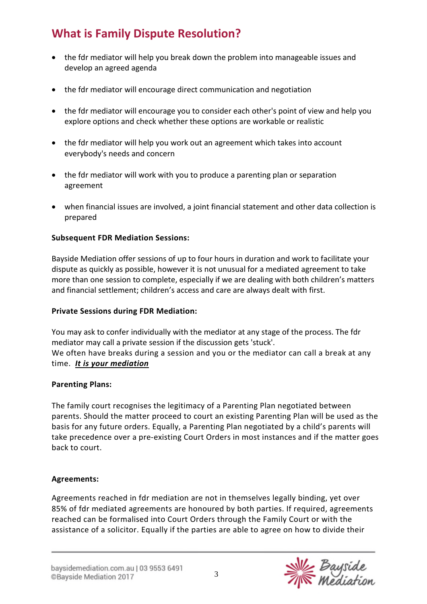- the fdr mediator will help you break down the problem into manageable issues and develop an agreed agenda
- the fdr mediator will encourage direct communication and negotiation
- the fdr mediator will encourage you to consider each other's point of view and help you explore options and check whether these options are workable or realistic
- the fdr mediator will help you work out an agreement which takes into account everybody's needs and concern
- the fdr mediator will work with you to produce a parenting plan or separation agreement
- when financial issues are involved, a joint financial statement and other data collection is prepared

#### **Subsequent FDR Mediation Sessions:**

Bayside Mediation offer sessions of up to four hours in duration and work to facilitate your dispute as quickly as possible, however it is not unusual for a mediated agreement to take more than one session to complete, especially if we are dealing with both children's matters and financial settlement; children's access and care are always dealt with first.

#### **Private Sessions during FDR Mediation:**

You may ask to confer individually with the mediator at any stage of the process. The fdr mediator may call a private session if the discussion gets 'stuck'. We often have breaks during a session and you or the mediator can call a break at any time. *It is your mediation*

#### **Parenting Plans:**

The family court recognises the legitimacy of a Parenting Plan negotiated between parents. Should the matter proceed to court an existing Parenting Plan will be used as the basis for any future orders. Equally, a Parenting Plan negotiated by a child's parents will take precedence over a pre-existing Court Orders in most instances and if the matter goes back to court.

#### **Agreements:**

Agreements reached in fdr mediation are not in themselves legally binding, yet over 85% of fdr mediated agreements are honoured by both parties. If required, agreements reached can be formalised into Court Orders through the Family Court or with the assistance of a solicitor. Equally if the parties are able to agree on how to divide their

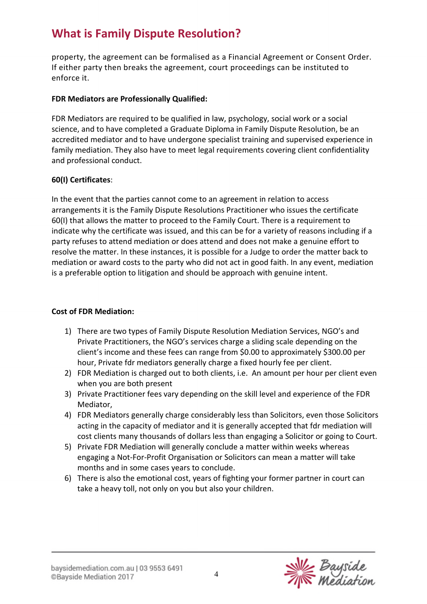property, the agreement can be formalised as a Financial Agreement or Consent Order. If either party then breaks the agreement, court proceedings can be instituted to enforce it.

#### **FDR Mediators are Professionally Qualified:**

FDR Mediators are required to be qualified in law, psychology, social work or a social science, and to have completed a Graduate Diploma in Family Dispute Resolution, be an accredited mediator and to have undergone specialist training and supervised experience in family mediation. They also have to meet legal requirements covering client confidentiality and professional conduct.

#### **60(I) Certificates**:

In the event that the parties cannot come to an agreement in relation to access arrangements it is the Family Dispute Resolutions Practitioner who issues the certificate 60(I) that allows the matter to proceed to the Family Court. There is a requirement to indicate why the certificate was issued, and this can be for a variety of reasons including if a party refuses to attend mediation or does attend and does not make a genuine effort to resolve the matter. In these instances, it is possible for a Judge to order the matter back to mediation or award costs to the party who did not act in good faith. In any event, mediation is a preferable option to litigation and should be approach with genuine intent.

#### **Cost of FDR Mediation:**

- 1) There are two types of Family Dispute Resolution Mediation Services, NGO's and Private Practitioners, the NGO's services charge a sliding scale depending on the client's income and these fees can range from \$0.00 to approximately \$300.00 per hour, Private fdr mediators generally charge a fixed hourly fee per client.
- 2) FDR Mediation is charged out to both clients, i.e. An amount per hour per client even when you are both present
- 3) Private Practitioner fees vary depending on the skill level and experience of the FDR Mediator,
- 4) FDR Mediators generally charge considerably less than Solicitors, even those Solicitors acting in the capacity of mediator and it is generally accepted that fdr mediation will cost clients many thousands of dollars less than engaging a Solicitor or going to Court.
- 5) Private FDR Mediation will generally conclude a matter within weeks whereas engaging a Not-For-Profit Organisation or Solicitors can mean a matter will take months and in some cases years to conclude.
- 6) There is also the emotional cost, years of fighting your former partner in court can take a heavy toll, not only on you but also your children.